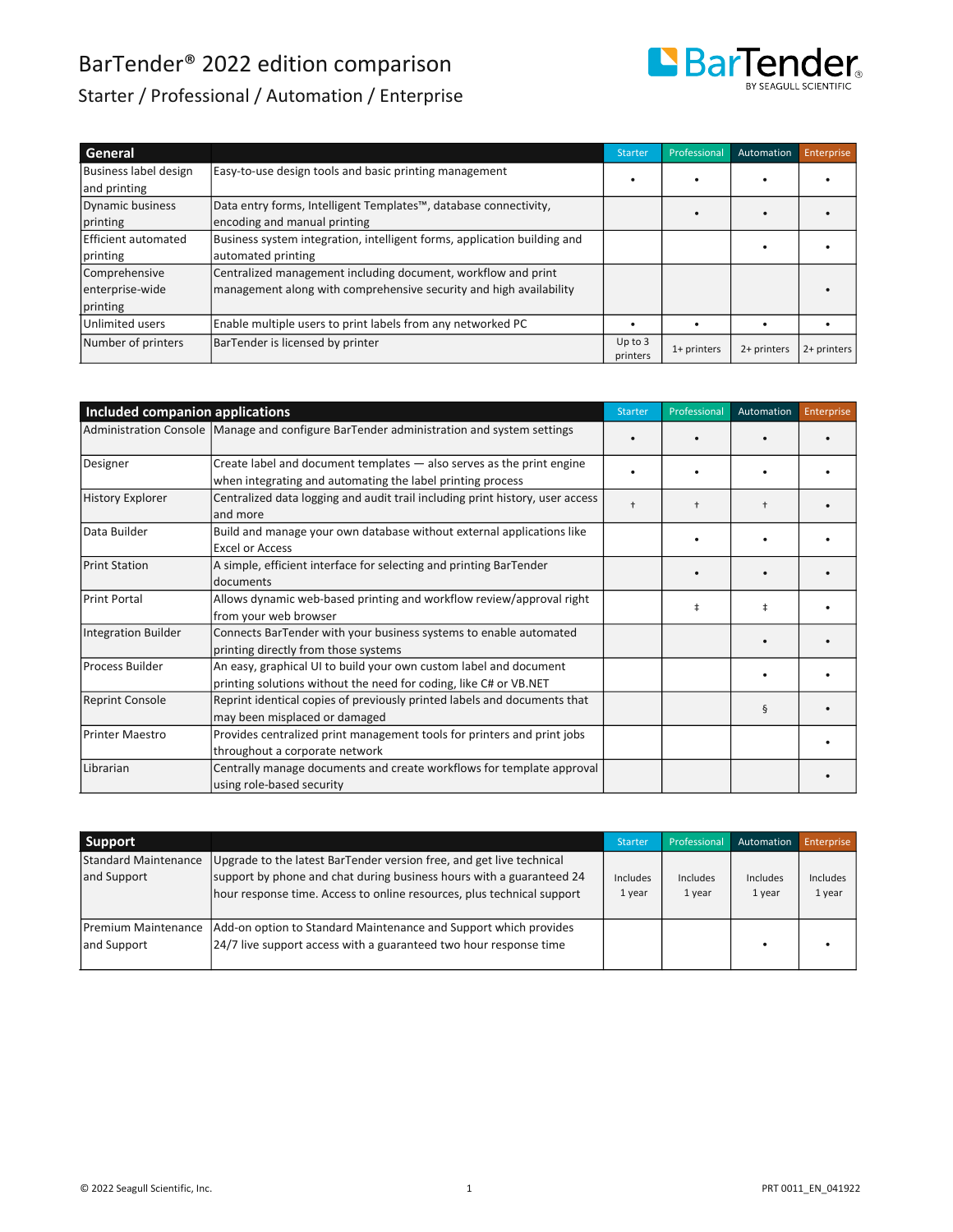

### Starter / Professional / Automation / Enterprise

| General               |                                                                          | Starter                 | Professional | Automation  | Enterprise  |
|-----------------------|--------------------------------------------------------------------------|-------------------------|--------------|-------------|-------------|
| Business label design | Easy-to-use design tools and basic printing management                   |                         |              |             |             |
| and printing          |                                                                          |                         |              |             |             |
| Dynamic business      | Data entry forms, Intelligent Templates™, database connectivity,         |                         |              |             |             |
| printing              | encoding and manual printing                                             |                         |              |             |             |
| Efficient automated   | Business system integration, intelligent forms, application building and |                         |              |             |             |
| printing              | automated printing                                                       |                         |              |             |             |
| Comprehensive         | Centralized management including document, workflow and print            |                         |              |             |             |
| enterprise-wide       | management along with comprehensive security and high availability       |                         |              |             |             |
| printing              |                                                                          |                         |              |             |             |
| Unlimited users       | Enable multiple users to print labels from any networked PC              |                         |              |             |             |
| Number of printers    | BarTender is licensed by printer                                         | $Up$ to $3$<br>printers | 1+ printers  | 2+ printers | 2+ printers |

- - - - - -

| Included companion applications |                                                                                                                                        | <b>Starter</b>       | Professional | Automation | Enterprise |
|---------------------------------|----------------------------------------------------------------------------------------------------------------------------------------|----------------------|--------------|------------|------------|
|                                 | Administration Console   Manage and configure BarTender administration and system settings                                             |                      |              |            |            |
| Designer                        | Create label and document templates - also serves as the print engine<br>when integrating and automating the label printing process    |                      |              |            |            |
| <b>History Explorer</b>         | Centralized data logging and audit trail including print history, user access<br>and more                                              | $\ddot{\phantom{1}}$ | ÷            |            |            |
| Data Builder                    | Build and manage your own database without external applications like<br><b>Excel or Access</b>                                        |                      |              |            |            |
| <b>Print Station</b>            | A simple, efficient interface for selecting and printing BarTender<br>documents                                                        |                      |              |            |            |
| <b>Print Portal</b>             | Allows dynamic web-based printing and workflow review/approval right<br>from your web browser                                          |                      | ŧ            | $\ddagger$ |            |
| Integration Builder             | Connects BarTender with your business systems to enable automated<br>printing directly from those systems                              |                      |              |            |            |
| Process Builder                 | An easy, graphical UI to build your own custom label and document<br>printing solutions without the need for coding, like C# or VB.NET |                      |              |            |            |
| <b>Reprint Console</b>          | Reprint identical copies of previously printed labels and documents that<br>may been misplaced or damaged                              |                      |              | ş          |            |
| Printer Maestro                 | Provides centralized print management tools for printers and print jobs<br>throughout a corporate network                              |                      |              |            |            |
| Librarian                       | Centrally manage documents and create workflows for template approval<br>using role-based security                                     |                      |              |            |            |

| Support                                                                                                                                                                                                                                                              | <b>Starter</b>     | Professional       | Automation         | Enterprise                |
|----------------------------------------------------------------------------------------------------------------------------------------------------------------------------------------------------------------------------------------------------------------------|--------------------|--------------------|--------------------|---------------------------|
| <b>Standard Maintenance</b><br>Upgrade to the latest BarTender version free, and get live technical<br>support by phone and chat during business hours with a guaranteed 24<br>and Support<br>hour response time. Access to online resources, plus technical support | Includes<br>1 year | Includes<br>1 year | Includes<br>1 year | <b>Includes</b><br>1 year |
| Add-on option to Standard Maintenance and Support which provides<br><b>Premium Maintenance</b><br>24/7 live support access with a guaranteed two hour response time<br>and Support                                                                                   |                    |                    |                    |                           |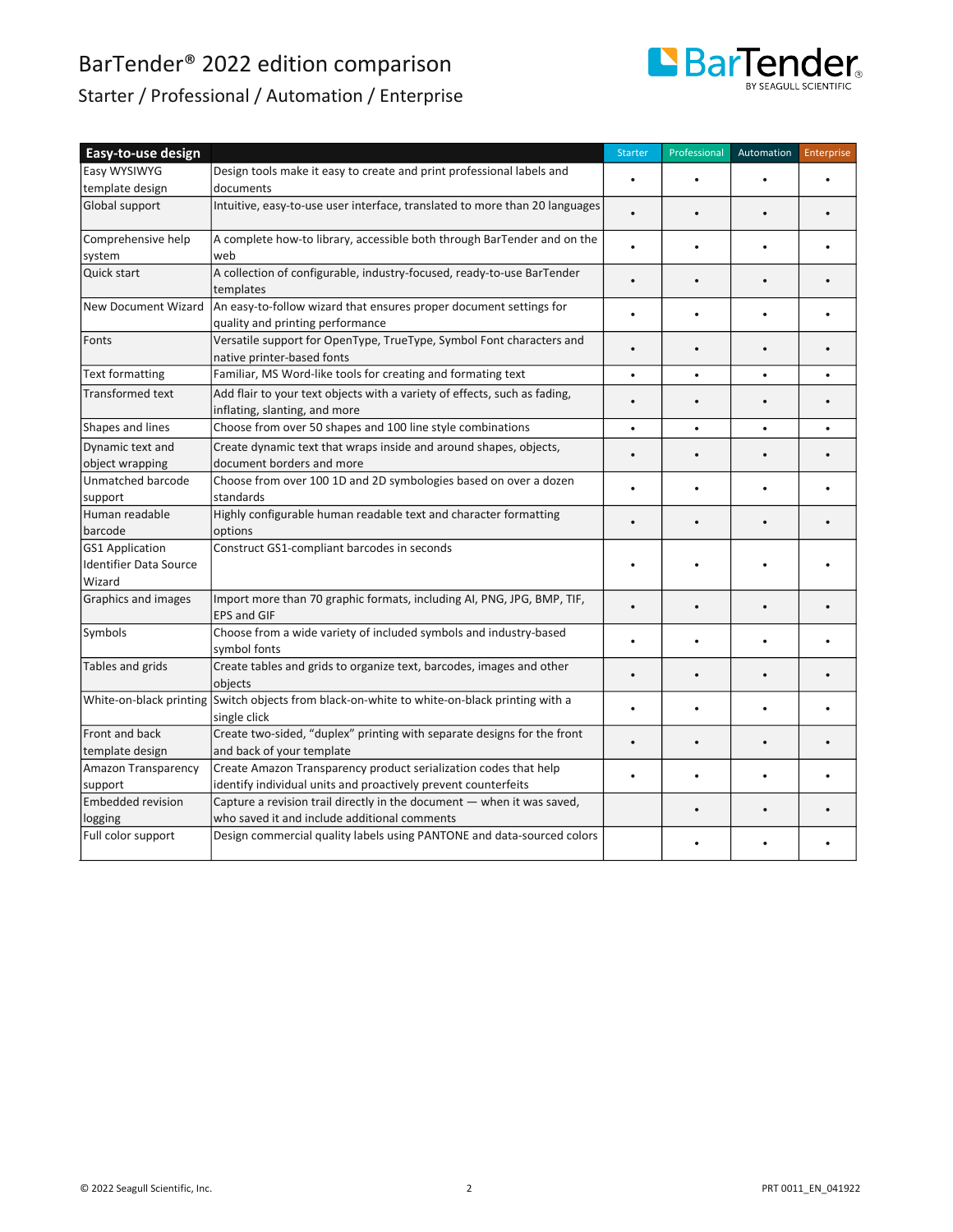

### Starter / Professional / Automation / Enterprise

| Easy-to-use design                                      |                                                                                                                                    | <b>Starter</b> | Professional | Automation | Enterprise |
|---------------------------------------------------------|------------------------------------------------------------------------------------------------------------------------------------|----------------|--------------|------------|------------|
| Easy WYSIWYG                                            | Design tools make it easy to create and print professional labels and                                                              |                |              |            |            |
| template design                                         | documents                                                                                                                          |                |              |            |            |
| Global support                                          | Intuitive, easy-to-use user interface, translated to more than 20 languages                                                        |                | $\bullet$    |            |            |
| Comprehensive help                                      | A complete how-to library, accessible both through BarTender and on the                                                            |                | $\bullet$    |            |            |
| system                                                  | web                                                                                                                                |                |              |            |            |
| Quick start                                             | A collection of configurable, industry-focused, ready-to-use BarTender<br>templates                                                |                | $\bullet$    |            |            |
| <b>New Document Wizard</b>                              | An easy-to-follow wizard that ensures proper document settings for<br>quality and printing performance                             | $\bullet$      | $\bullet$    | $\bullet$  |            |
| Fonts                                                   | Versatile support for OpenType, TrueType, Symbol Font characters and<br>native printer-based fonts                                 | $\bullet$      | $\bullet$    |            |            |
| <b>Text formatting</b>                                  | Familiar, MS Word-like tools for creating and formating text                                                                       | $\bullet$      | $\bullet$    | $\bullet$  |            |
| <b>Transformed text</b>                                 | Add flair to your text objects with a variety of effects, such as fading,<br>inflating, slanting, and more                         |                |              |            |            |
| Shapes and lines                                        | Choose from over 50 shapes and 100 line style combinations                                                                         | $\bullet$      | $\bullet$    | $\bullet$  |            |
| Dynamic text and                                        | Create dynamic text that wraps inside and around shapes, objects,                                                                  |                |              |            |            |
| object wrapping                                         | document borders and more                                                                                                          | $\bullet$      | $\bullet$    |            |            |
| Unmatched barcode<br>support                            | Choose from over 100 1D and 2D symbologies based on over a dozen<br>standards                                                      | $\bullet$      | $\bullet$    | $\bullet$  |            |
| Human readable                                          | Highly configurable human readable text and character formatting                                                                   |                | $\bullet$    |            |            |
| barcode                                                 | options                                                                                                                            | $\bullet$      |              |            |            |
| <b>GS1 Application</b><br><b>Identifier Data Source</b> | Construct GS1-compliant barcodes in seconds                                                                                        |                |              |            |            |
| Wizard                                                  |                                                                                                                                    |                |              |            |            |
| Graphics and images                                     | Import more than 70 graphic formats, including AI, PNG, JPG, BMP, TIF,<br><b>EPS and GIF</b>                                       |                | $\bullet$    |            |            |
| Symbols                                                 | Choose from a wide variety of included symbols and industry-based<br>symbol fonts                                                  | $\bullet$      | $\bullet$    | $\bullet$  |            |
| Tables and grids                                        | Create tables and grids to organize text, barcodes, images and other<br>objects                                                    |                |              |            |            |
|                                                         | White-on-black printing Switch objects from black-on-white to white-on-black printing with a<br>single click                       |                | $\bullet$    |            |            |
| Front and back<br>template design                       | Create two-sided, "duplex" printing with separate designs for the front<br>and back of your template                               |                | $\bullet$    |            |            |
| Amazon Transparency<br>support                          | Create Amazon Transparency product serialization codes that help<br>identify individual units and proactively prevent counterfeits | $\bullet$      | $\bullet$    |            |            |
| <b>Embedded revision</b>                                | Capture a revision trail directly in the document - when it was saved,                                                             |                |              |            |            |
| logging                                                 | who saved it and include additional comments                                                                                       |                | $\bullet$    |            |            |
| Full color support                                      | Design commercial quality labels using PANTONE and data-sourced colors                                                             |                | $\bullet$    |            |            |
|                                                         |                                                                                                                                    |                |              |            |            |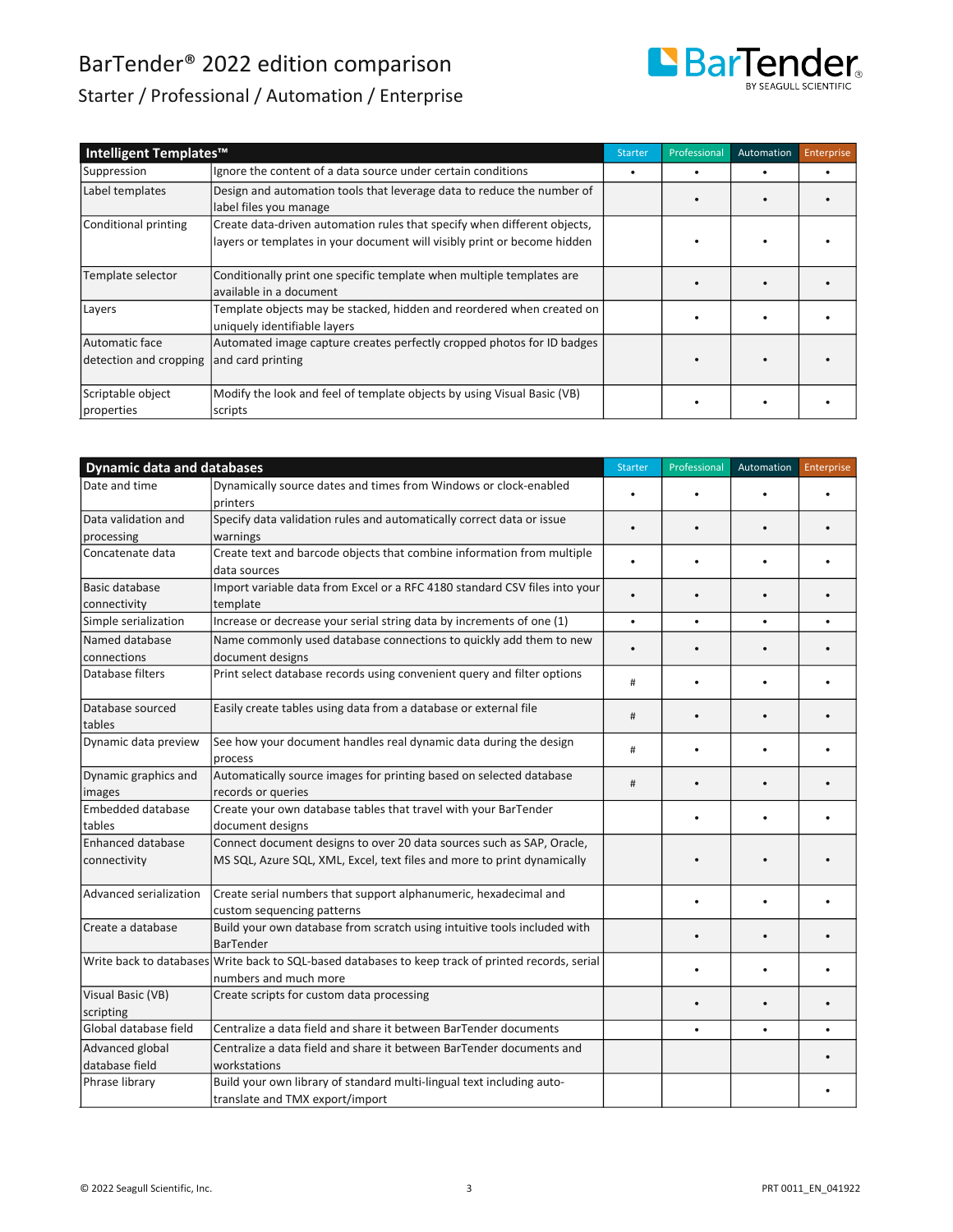

### Starter / Professional / Automation / Enterprise

| Intelligent Templates™                   |                                                                                                                                                      | Starter | Professional | Automation | Enterprise |
|------------------------------------------|------------------------------------------------------------------------------------------------------------------------------------------------------|---------|--------------|------------|------------|
| Suppression                              | Ignore the content of a data source under certain conditions                                                                                         |         |              |            |            |
| Label templates                          | Design and automation tools that leverage data to reduce the number of<br>label files you manage                                                     |         |              |            |            |
| Conditional printing                     | Create data-driven automation rules that specify when different objects,<br>layers or templates in your document will visibly print or become hidden |         |              |            |            |
| Template selector                        | Conditionally print one specific template when multiple templates are<br>lavailable in a document                                                    |         |              |            |            |
| Layers                                   | Template objects may be stacked, hidden and reordered when created on<br>uniquely identifiable layers                                                |         |              |            |            |
| Automatic face<br>detection and cropping | Automated image capture creates perfectly cropped photos for ID badges<br>and card printing                                                          |         |              |            |            |
| Scriptable object<br>properties          | Modify the look and feel of template objects by using Visual Basic (VB)<br>scripts                                                                   |         |              |            |            |

| <b>Dynamic data and databases</b>        |                                                                                                                                                  | <b>Starter</b> | Professional | Automation | Enterprise |
|------------------------------------------|--------------------------------------------------------------------------------------------------------------------------------------------------|----------------|--------------|------------|------------|
| Date and time                            | Dynamically source dates and times from Windows or clock-enabled<br>printers                                                                     |                |              |            |            |
| Data validation and<br>processing        | Specify data validation rules and automatically correct data or issue<br>warnings                                                                | $\bullet$      |              |            |            |
| Concatenate data                         | Create text and barcode objects that combine information from multiple<br>data sources                                                           |                |              |            |            |
| Basic database<br>connectivity           | Import variable data from Excel or a RFC 4180 standard CSV files into your<br>template                                                           |                | $\bullet$    |            |            |
| Simple serialization                     | Increase or decrease your serial string data by increments of one (1)                                                                            | $\bullet$      | $\bullet$    | $\bullet$  |            |
| Named database<br>connections            | Name commonly used database connections to quickly add them to new<br>document designs                                                           |                |              |            |            |
| Database filters                         | Print select database records using convenient query and filter options                                                                          | $\#$           | $\bullet$    |            |            |
| Database sourced<br>tables               | Easily create tables using data from a database or external file                                                                                 | #              | $\bullet$    |            |            |
| Dynamic data preview                     | See how your document handles real dynamic data during the design<br>process                                                                     | #              |              |            |            |
| Dynamic graphics and<br>images           | Automatically source images for printing based on selected database<br>records or queries                                                        | #              |              |            |            |
| Embedded database<br>tables              | Create your own database tables that travel with your BarTender<br>document designs                                                              |                |              |            |            |
| <b>Enhanced database</b><br>connectivity | Connect document designs to over 20 data sources such as SAP, Oracle,<br>MS SQL, Azure SQL, XML, Excel, text files and more to print dynamically |                |              |            |            |
| Advanced serialization                   | Create serial numbers that support alphanumeric, hexadecimal and<br>custom sequencing patterns                                                   |                |              |            |            |
| Create a database                        | Build your own database from scratch using intuitive tools included with<br><b>BarTender</b>                                                     |                |              |            |            |
|                                          | Write back to databases Write back to SQL-based databases to keep track of printed records, serial<br>numbers and much more                      |                |              |            |            |
| Visual Basic (VB)<br>scripting           | Create scripts for custom data processing                                                                                                        |                |              |            |            |
| Global database field                    | Centralize a data field and share it between BarTender documents                                                                                 |                | $\bullet$    | $\bullet$  |            |
| Advanced global<br>database field        | Centralize a data field and share it between BarTender documents and<br>workstations                                                             |                |              |            |            |
| Phrase library                           | Build your own library of standard multi-lingual text including auto-<br>translate and TMX export/import                                         |                |              |            |            |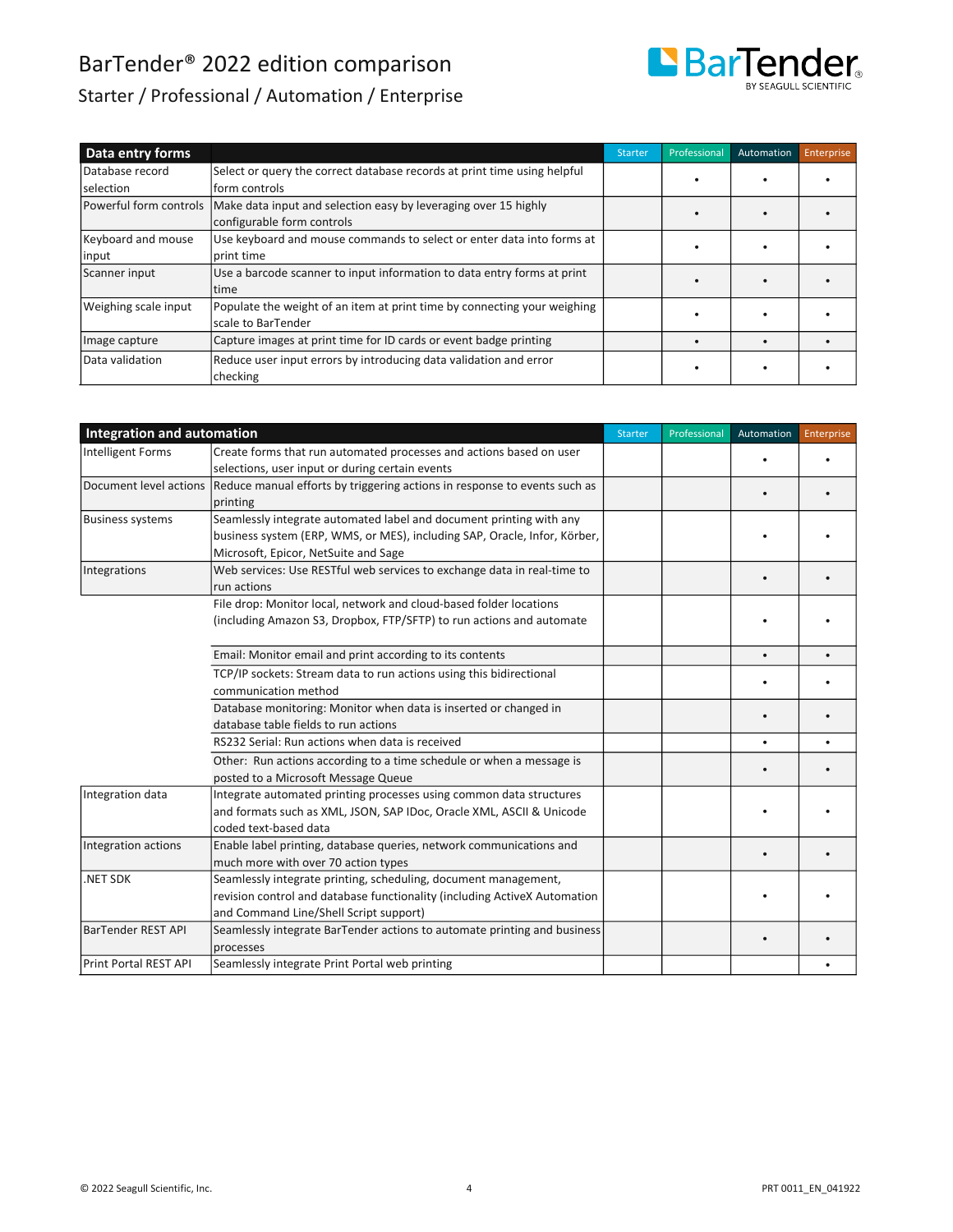

### Starter / Professional / Automation / Enterprise

| Data entry forms       |                                                                          | <b>Starter</b> | Professional | Automation | <b>Enterprise</b> |
|------------------------|--------------------------------------------------------------------------|----------------|--------------|------------|-------------------|
| Database record        | Select or query the correct database records at print time using helpful |                |              |            |                   |
| Iselection             | form controls                                                            |                |              |            |                   |
| Powerful form controls | Make data input and selection easy by leveraging over 15 highly          |                |              |            |                   |
|                        | configurable form controls                                               |                |              |            |                   |
| Keyboard and mouse     | Use keyboard and mouse commands to select or enter data into forms at    |                |              |            |                   |
| input                  | print time                                                               |                |              |            |                   |
| Scanner input          | Use a barcode scanner to input information to data entry forms at print  |                |              |            |                   |
|                        | time                                                                     |                |              |            |                   |
| Weighing scale input   | Populate the weight of an item at print time by connecting your weighing |                |              |            |                   |
|                        | scale to BarTender                                                       |                |              |            |                   |
| Image capture          | Capture images at print time for ID cards or event badge printing        |                |              |            |                   |
| Data validation        | Reduce user input errors by introducing data validation and error        |                |              |            |                   |
|                        | checking                                                                 |                |              |            |                   |
|                        |                                                                          |                |              |            |                   |

| <b>Integration and automation</b> |                                                                           | Starter | Professional | Automation | Enterprise |
|-----------------------------------|---------------------------------------------------------------------------|---------|--------------|------------|------------|
| <b>Intelligent Forms</b>          | Create forms that run automated processes and actions based on user       |         |              |            |            |
|                                   | selections, user input or during certain events                           |         |              |            |            |
| Document level actions            | Reduce manual efforts by triggering actions in response to events such as |         |              |            |            |
|                                   | printing                                                                  |         |              |            |            |
| <b>Business systems</b>           | Seamlessly integrate automated label and document printing with any       |         |              |            |            |
|                                   | business system (ERP, WMS, or MES), including SAP, Oracle, Infor, Körber, |         |              |            |            |
|                                   | Microsoft, Epicor, NetSuite and Sage                                      |         |              |            |            |
| Integrations                      | Web services: Use RESTful web services to exchange data in real-time to   |         |              |            |            |
|                                   | run actions                                                               |         |              |            |            |
|                                   | File drop: Monitor local, network and cloud-based folder locations        |         |              |            |            |
|                                   | (including Amazon S3, Dropbox, FTP/SFTP) to run actions and automate      |         |              |            |            |
|                                   |                                                                           |         |              |            |            |
|                                   | Email: Monitor email and print according to its contents                  |         |              | $\bullet$  |            |
|                                   | TCP/IP sockets: Stream data to run actions using this bidirectional       |         |              |            |            |
|                                   | communication method                                                      |         |              |            |            |
|                                   | Database monitoring: Monitor when data is inserted or changed in          |         |              |            |            |
|                                   | database table fields to run actions                                      |         |              |            |            |
|                                   | RS232 Serial: Run actions when data is received                           |         |              |            |            |
|                                   | Other: Run actions according to a time schedule or when a message is      |         |              |            |            |
|                                   | posted to a Microsoft Message Queue                                       |         |              |            |            |
| Integration data                  | Integrate automated printing processes using common data structures       |         |              |            |            |
|                                   | and formats such as XML, JSON, SAP IDoc, Oracle XML, ASCII & Unicode      |         |              |            |            |
|                                   | coded text-based data                                                     |         |              |            |            |
| Integration actions               | Enable label printing, database queries, network communications and       |         |              |            |            |
|                                   | much more with over 70 action types                                       |         |              |            |            |
| .NET SDK                          | Seamlessly integrate printing, scheduling, document management,           |         |              |            |            |
|                                   | revision control and database functionality (including ActiveX Automation |         |              |            |            |
|                                   | and Command Line/Shell Script support)                                    |         |              |            |            |
| <b>BarTender REST API</b>         | Seamlessly integrate BarTender actions to automate printing and business  |         |              |            |            |
|                                   | processes                                                                 |         |              |            |            |
| Print Portal REST API             | Seamlessly integrate Print Portal web printing                            |         |              |            |            |
|                                   |                                                                           |         |              |            |            |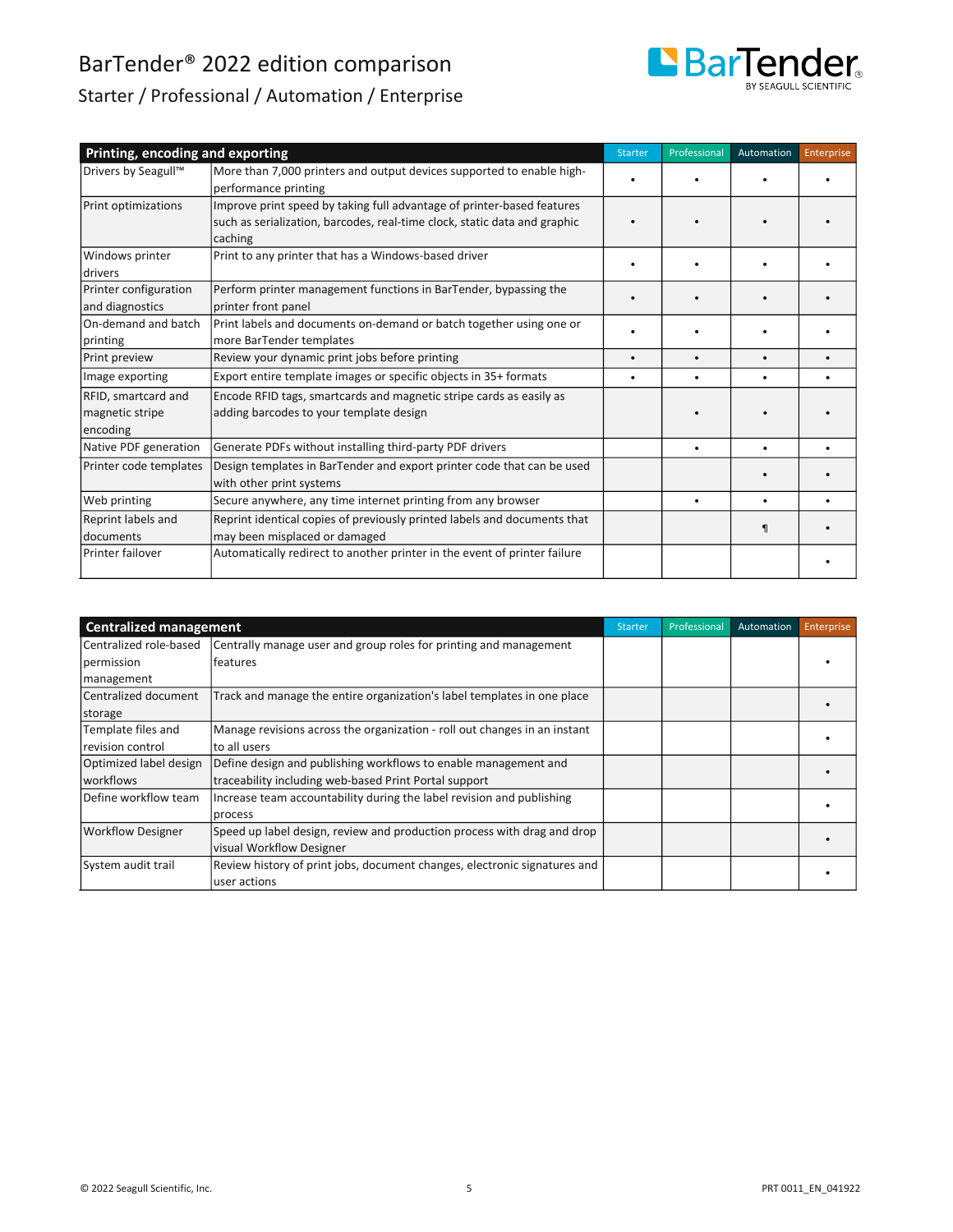

### Starter / Professional / Automation / Enterprise

| Printing, encoding and exporting                   |                                                                                                                                                                | Starter   | Professional | Automation | Enterprise |
|----------------------------------------------------|----------------------------------------------------------------------------------------------------------------------------------------------------------------|-----------|--------------|------------|------------|
| Drivers by Seagull <sup>™</sup>                    | More than 7,000 printers and output devices supported to enable high-<br>performance printing                                                                  |           |              |            |            |
| Print optimizations                                | Improve print speed by taking full advantage of printer-based features<br>such as serialization, barcodes, real-time clock, static data and graphic<br>caching |           |              |            |            |
| Windows printer<br>drivers                         | Print to any printer that has a Windows-based driver                                                                                                           |           |              |            |            |
| Printer configuration<br>and diagnostics           | Perform printer management functions in BarTender, bypassing the<br>printer front panel                                                                        |           |              |            |            |
| On-demand and batch<br>printing                    | Print labels and documents on-demand or batch together using one or<br>more BarTender templates                                                                |           |              |            |            |
| Print preview                                      | Review your dynamic print jobs before printing                                                                                                                 | $\bullet$ | $\bullet$    |            |            |
| Image exporting                                    | Export entire template images or specific objects in 35+ formats                                                                                               | ٠         | ٠            | ٠          |            |
| RFID, smartcard and<br>magnetic stripe<br>encoding | Encode RFID tags, smartcards and magnetic stripe cards as easily as<br>adding barcodes to your template design                                                 |           |              |            |            |
| Native PDF generation                              | Generate PDFs without installing third-party PDF drivers                                                                                                       |           | $\bullet$    |            |            |
| Printer code templates                             | Design templates in BarTender and export printer code that can be used<br>with other print systems                                                             |           |              |            |            |
| Web printing                                       | Secure anywhere, any time internet printing from any browser                                                                                                   |           | ٠            |            |            |
| Reprint labels and<br>l documents                  | Reprint identical copies of previously printed labels and documents that<br>may been misplaced or damaged                                                      |           |              |            |            |
| Printer failover                                   | Automatically redirect to another printer in the event of printer failure                                                                                      |           |              |            |            |

| <b>Centralized management</b> |                                                                           | <b>Starter</b> | Professional | Automation | Enterprise |
|-------------------------------|---------------------------------------------------------------------------|----------------|--------------|------------|------------|
| Centralized role-based        | Centrally manage user and group roles for printing and management         |                |              |            |            |
| permission                    | features                                                                  |                |              |            |            |
| management                    |                                                                           |                |              |            |            |
| Centralized document          | Track and manage the entire organization's label templates in one place   |                |              |            |            |
| storage                       |                                                                           |                |              |            |            |
| Template files and            | Manage revisions across the organization - roll out changes in an instant |                |              |            |            |
| revision control              | to all users                                                              |                |              |            |            |
| Optimized label design        | Define design and publishing workflows to enable management and           |                |              |            |            |
| <b>workflows</b>              | traceability including web-based Print Portal support                     |                |              |            |            |
| Define workflow team          | Increase team accountability during the label revision and publishing     |                |              |            |            |
|                               | process                                                                   |                |              |            |            |
| <b>Workflow Designer</b>      | Speed up label design, review and production process with drag and drop   |                |              |            |            |
|                               | visual Workflow Designer                                                  |                |              |            |            |
| System audit trail            | Review history of print jobs, document changes, electronic signatures and |                |              |            |            |
|                               | user actions                                                              |                |              |            |            |

- - - - - -

- - - - - -